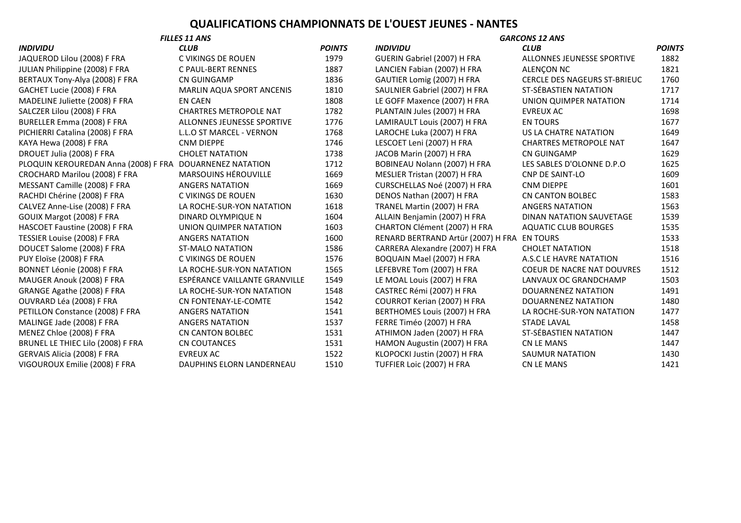## **QUALIFICATIONS CHAMPIONNATS DE L'OUEST JEUNES - NANTES**

| JAQUEROD Lilou (2008) F FRA       |
|-----------------------------------|
| JULIAN Philippine (2008) F FRA    |
| BERTAUX Tony-Alya (2008) F FRA    |
| GACHET Lucie (2008) F FRA         |
| MADELINE Juliette (2008) F FRA    |
| SALCZER Lilou (2008) F FRA        |
| BURELLER Emma (2008) F FRA        |
| PICHIERRI Catalina (2008) F FRA   |
| KAYA Hewa (2008) F FRA            |
| DROUET Julia (2008) F FRA         |
| PLOQUIN KEROUREDAN Anna (2008)    |
| CROCHARD Marilou (2008) F FRA     |
| MESSANT Camille (2008) F FRA      |
| RACHDI Chérine (2008) F FRA       |
| CALVEZ Anne-Lise (2008) F FRA     |
| GOUIX Margot (2008) F FRA         |
| HASCOET Faustine (2008) F FRA     |
| TESSIER Louise (2008) F FRA       |
| DOUCET Salome (2008) F FRA        |
| PUY Eloïse (2008) F FRA           |
| BONNET Léonie (2008) F FRA        |
| MAUGER Anouk (2008) F FRA         |
| GRANGE Agathe (2008) F FRA        |
| OUVRARD Léa (2008) F FRA          |
| PETILLON Constance (2008) F FRA   |
| MALINGE Jade (2008) F FRA         |
| MENEZ Chloe (2008) F FRA          |
| BRUNEL LE THIEC Lilo (2008) F FRA |
| GERVAIS Alicia (2008) F FRA       |
| VIGOUROUX Emilie (2008) F FRA     |
|                                   |

| сгив                             | POII            |
|----------------------------------|-----------------|
| C VIKINGS DE ROUEN               | 19 <sup>°</sup> |
| C PAUL-BERT RENNES               | 18i             |
| CN GUINGAMP                      | 18 <sup>2</sup> |
| <b>MARLIN AQUA SPORT ANCENIS</b> | 18 <sub>1</sub> |
| <b>EN CAEN</b>                   | 18              |
| <b>CHARTRES METROPOLE NAT</b>    | 17              |
| ALLONNES JEUNESSE SPORTIVE       | 17              |
| <b>L.L.O ST MARCEL - VERNON</b>  | 17 <sub>0</sub> |
| <b>CNM DIEPPE</b>                | 17 <sub>0</sub> |
| <b>CHOLET NATATION</b>           | 17 <sub>3</sub> |
| <b>DOUARNENEZ NATATION</b>       | 17 <sub>2</sub> |
| <b>MARSOUINS HÉROUVILLE</b>      | 16              |
| <b>ANGERS NATATION</b>           | 16              |
| C VIKINGS DE ROUEN               | 16              |
| LA ROCHE-SUR-YON NATATION        | 16 <sub>i</sub> |
| <b>DINARD OLYMPIQUE N</b>        | 16              |
| UNION QUIMPER NATATION           | 16              |
| <b>ANGERS NATATION</b>           | 16              |
| <b>ST-MALO NATATION</b>          | 15 <sub>i</sub> |
| C VIKINGS DE ROUEN               | 15              |
| LA ROCHE-SUR-YON NATATION        | 15 <sub>0</sub> |
| ESPÉRANCE VAILLANTE GRANVILLE    | 15 <sub>4</sub> |
| LA ROCHE-SUR-YON NATATION        | 15 <sub>4</sub> |
| CN FONTENAY-LE-COMTE             | 15 <sub>4</sub> |
| <b>ANGERS NATATION</b>           | 15 <sub>4</sub> |
| <b>ANGERS NATATION</b>           | 15 <sub>1</sub> |
| <b>CN CANTON BOLBEC</b>          | 15 <sub>1</sub> |
| <b>CN COUTANCES</b>              | 15 <sub>1</sub> |
| <b>EVREUX AC</b>                 | 15 <sub>i</sub> |
| <b>DAUDUING FLODM LANDEDNEAU</b> | $\sim$ $\sim$   |

| <b>FILLES 11 ANS</b>                 |                                  | <b>GARCONS 12 ANS</b> |                                    |                                     |               |
|--------------------------------------|----------------------------------|-----------------------|------------------------------------|-------------------------------------|---------------|
| INDIVIDU                             | <b>CLUB</b>                      | <b>POINTS</b>         | <b>INDIVIDU</b>                    | <b>CLUB</b>                         | <b>POINTS</b> |
| JAQUEROD Lilou (2008) F FRA          | C VIKINGS DE ROUEN               | 1979                  | GUERIN Gabriel (2007) H FRA        | ALLONNES JEUNESSE SPORTIVE          | 1882          |
| JULIAN Philippine (2008) F FRA       | C PAUL-BERT RENNES               | 1887                  | LANCIEN Fabian (2007) H FRA        | ALENÇON NC                          | 1821          |
| BERTAUX Tony-Alya (2008) F FRA       | <b>CN GUINGAMP</b>               | 1836                  | GAUTIER Lomig (2007) H FRA         | <b>CERCLE DES NAGEURS ST-BRIEUC</b> | 1760          |
| GACHET Lucie (2008) F FRA            | <b>MARLIN AQUA SPORT ANCENIS</b> | 1810                  | SAULNIER Gabriel (2007) H FRA      | ST-SÉBASTIEN NATATION               | 1717          |
| MADELINE Juliette (2008) F FRA       | <b>EN CAEN</b>                   | 1808                  | LE GOFF Maxence (2007) H FRA       | UNION QUIMPER NATATION              | 1714          |
| SALCZER Lilou (2008) F FRA           | <b>CHARTRES METROPOLE NAT</b>    | 1782                  | PLANTAIN Jules (2007) H FRA        | <b>EVREUX AC</b>                    | 1698          |
| BURELLER Emma (2008) F FRA           | ALLONNES JEUNESSE SPORTIVE       | 1776                  | LAMIRAULT Louis (2007) H FRA       | <b>EN TOURS</b>                     | 1677          |
| PICHIERRI Catalina (2008) F FRA      | L.L.O ST MARCEL - VERNON         | 1768                  | LAROCHE Luka (2007) H FRA          | US LA CHATRE NATATION               | 1649          |
| KAYA Hewa (2008) F FRA               | <b>CNM DIEPPE</b>                | 1746                  | LESCOET Leni (2007) H FRA          | <b>CHARTRES METROPOLE NAT</b>       | 1647          |
| DROUET Julia (2008) F FRA            | <b>CHOLET NATATION</b>           | 1738                  | JACOB Marin (2007) H FRA           | CN GUINGAMP                         | 1629          |
| PLOQUIN KEROUREDAN Anna (2008) F FRA | DOUARNENEZ NATATION              | 1712                  | BOBINEAU Nolann (2007) H FRA       | LES SABLES D'OLONNE D.P.O           | 1625          |
| CROCHARD Marilou (2008) F FRA        | MARSOUINS HÉROUVILLE             | 1669                  | MESLIER Tristan (2007) H FRA       | <b>CNP DE SAINT-LO</b>              | 1609          |
| MESSANT Camille (2008) F FRA         | <b>ANGERS NATATION</b>           | 1669                  | CURSCHELLAS Noé (2007) H FRA       | <b>CNM DIEPPE</b>                   | 1601          |
| RACHDI Chérine (2008) F FRA          | C VIKINGS DE ROUEN               | 1630                  | DENOS Nathan (2007) H FRA          | <b>CN CANTON BOLBEC</b>             | 1583          |
| CALVEZ Anne-Lise (2008) F FRA        | LA ROCHE-SUR-YON NATATION        | 1618                  | TRANEL Martin (2007) H FRA         | <b>ANGERS NATATION</b>              | 1563          |
| GOUIX Margot (2008) F FRA            | DINARD OLYMPIQUE N               | 1604                  | ALLAIN Benjamin (2007) H FRA       | DINAN NATATION SAUVETAGE            | 1539          |
| HASCOET Faustine (2008) F FRA        | UNION QUIMPER NATATION           | 1603                  | CHARTON Clément (2007) H FRA       | <b>AQUATIC CLUB BOURGES</b>         | 1535          |
| TESSIER Louise (2008) F FRA          | <b>ANGERS NATATION</b>           | 1600                  | RENARD BERTRAND Artür (2007) H FRA | <b>EN TOURS</b>                     | 1533          |
| DOUCET Salome (2008) F FRA           | <b>ST-MALO NATATION</b>          | 1586                  | CARRERA Alexandre (2007) H FRA     | <b>CHOLET NATATION</b>              | 1518          |
| PUY Eloïse (2008) F FRA              | C VIKINGS DE ROUEN               | 1576                  | BOQUAIN Mael (2007) H FRA          | A.S.C LE HAVRE NATATION             | 1516          |
| BONNET Léonie (2008) F FRA           | LA ROCHE-SUR-YON NATATION        | 1565                  | LEFEBVRE Tom (2007) H FRA          | <b>COEUR DE NACRE NAT DOUVRES</b>   | 1512          |
| MAUGER Anouk (2008) F FRA            | ESPÉRANCE VAILLANTE GRANVILLE    | 1549                  | LE MOAL Louis (2007) H FRA         | LANVAUX OC GRANDCHAMP               | 1503          |
| GRANGE Agathe (2008) F FRA           | LA ROCHE-SUR-YON NATATION        | 1548                  | CASTREC Rémi (2007) H FRA          | <b>DOUARNENEZ NATATION</b>          | 1491          |
| OUVRARD Léa (2008) F FRA             | CN FONTENAY-LE-COMTE             | 1542                  | COURROT Kerian (2007) H FRA        | DOUARNENEZ NATATION                 | 1480          |
| PETILLON Constance (2008) F FRA      | <b>ANGERS NATATION</b>           | 1541                  | BERTHOMES Louis (2007) H FRA       | LA ROCHE-SUR-YON NATATION           | 1477          |
| MALINGE Jade (2008) F FRA            | <b>ANGERS NATATION</b>           | 1537                  | FERRE Timéo (2007) H FRA           | <b>STADE LAVAL</b>                  | 1458          |
| MENEZ Chloe (2008) F FRA             | <b>CN CANTON BOLBEC</b>          | 1531                  | ATHIMON Jaden (2007) H FRA         | ST-SÉBASTIEN NATATION               | 1447          |
| BRUNEL LE THIEC Lilo (2008) F FRA    | <b>CN COUTANCES</b>              | 1531                  | HAMON Augustin (2007) H FRA        | <b>CN LE MANS</b>                   | 1447          |
| GERVAIS Alicia (2008) F FRA          | <b>EVREUX AC</b>                 | 1522                  | KLOPOCKI Justin (2007) H FRA       | SAUMUR NATATION                     | 1430          |
| VIGOUROUX Emilie (2008) F FRA        | DAUPHINS ELORN LANDERNEAU        | 1510                  | TUFFIER Loic (2007) H FRA          | <b>CN LE MANS</b>                   | 1421          |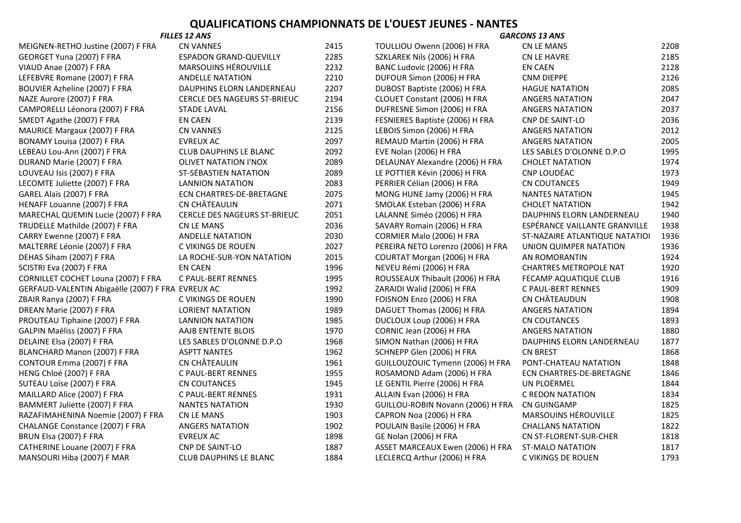## **QUALIFICATIONS CHAMPIONNATS DE L'OUEST JEUNES - NANTES**

| <b>FILLES 12 ANS</b>                              |                                     | <b>GARCONS 13 ANS</b> |                                   |                                 |      |
|---------------------------------------------------|-------------------------------------|-----------------------|-----------------------------------|---------------------------------|------|
| MEIGNEN-RETHO Justine (2007) F FRA                | <b>CN VANNES</b>                    | 2415                  | TOULLIOU Owenn (2006) H FRA       | <b>CN LE MANS</b>               | 2208 |
| GEORGET Yuna (2007) F FRA                         | <b>ESPADON GRAND-QUEVILLY</b>       | 2285                  | SZKLAREK Nils (2006) H FRA        | <b>CN LE HAVRE</b>              | 2185 |
| VIAUD Anae (2007) F FRA                           | MARSOUINS HÉROUVILLE                | 2232                  | BANC Ludovic (2006) H FRA         | EN CAEN                         | 2128 |
| LEFEBVRE Romane (2007) F FRA                      | <b>ANDELLE NATATION</b>             | 2210                  | DUFOUR Simon (2006) H FRA         | <b>CNM DIEPPE</b>               | 2126 |
| BOUVIER Azheline (2007) F FRA                     | DAUPHINS ELORN LANDERNEAU           | 2207                  | DUBOST Baptiste (2006) H FRA      | <b>HAGUE NATATION</b>           | 2085 |
| NAZE Aurore (2007) F FRA                          | <b>CERCLE DES NAGEURS ST-BRIEUC</b> | 2194                  | CLOUET Constant (2006) H FRA      | <b>ANGERS NATATION</b>          | 2047 |
| CAMPORELLI Léonora (2007) F FRA                   | <b>STADE LAVAL</b>                  | 2156                  | DUFRESNE Simon (2006) H FRA       | <b>ANGERS NATATION</b>          | 2037 |
| SMEDT Agathe (2007) F FRA                         | <b>EN CAEN</b>                      | 2139                  | FESNIERES Baptiste (2006) H FRA   | <b>CNP DE SAINT-LO</b>          | 2036 |
| MAURICE Margaux (2007) F FRA                      | <b>CN VANNES</b>                    | 2125                  | LEBOIS Simon (2006) H FRA         | <b>ANGERS NATATION</b>          | 2012 |
| BONAMY Louisa (2007) F FRA                        | <b>EVREUX AC</b>                    | 2097                  | REMAUD Martin (2006) H FRA        | <b>ANGERS NATATION</b>          | 2005 |
| LEBEAU Lou-Ann (2007) F FRA                       | <b>CLUB DAUPHINS LE BLANC</b>       | 2092                  | EVE Nolan (2006) H FRA            | LES SABLES D'OLONNE D.P.O       | 1995 |
| DURAND Marie (2007) F FRA                         | <b>OLIVET NATATION I'NOX</b>        | 2089                  | DELAUNAY Alexandre (2006) H FRA   | <b>CHOLET NATATION</b>          | 1974 |
| LOUVEAU Isis (2007) F FRA                         | ST-SÉBASTIEN NATATION               | 2089                  | LE POTTIER Kévin (2006) H FRA     | CNP LOUDÉAC                     | 1973 |
| LECOMTE Juliette (2007) F FRA                     | LANNION NATATION                    | 2083                  | PERRIER Célian (2006) H FRA       | <b>CN COUTANCES</b>             | 1949 |
| GAREL Alaïs (2007) F FRA                          | ECN CHARTRES-DE-BRETAGNE            | 2075                  | MONG HUNE Jamy (2006) H FRA       | <b>NANTES NATATION</b>          | 1945 |
| HENAFF Louanne (2007) F FRA                       | <b>CN CHÂTEAULIN</b>                | 2071                  | SMOLAK Esteban (2006) H FRA       | <b>CHOLET NATATION</b>          | 1942 |
| MARECHAL QUEMIN Lucie (2007) F FRA                | <b>CERCLE DES NAGEURS ST-BRIEUC</b> | 2051                  | LALANNE Siméo (2006) H FRA        | DAUPHINS ELORN LANDERNEAU       | 1940 |
| TRUDELLE Mathilde (2007) F FRA                    | <b>CN LE MANS</b>                   | 2036                  | SAVARY Romain (2006) H FRA        | ESPÉRANCE VAILLANTE GRANVILLE   | 1938 |
| CARRY Ewenne (2007) F FRA                         | <b>ANDELLE NATATION</b>             | 2030                  | CORMIER Malo (2006) H FRA         | ST-NAZAIRE ATLANTIQUE NATATIOI  | 1936 |
| MALTERRE Léonie (2007) F FRA                      | C VIKINGS DE ROUEN                  | 2027                  | PEREIRA NETO Lorenzo (2006) H FRA | UNION QUIMPER NATATION          | 1936 |
| DEHAS Siham (2007) F FRA                          | LA ROCHE-SUR-YON NATATION           | 2015                  | COURTAT Morgan (2006) H FRA       | AN ROMORANTIN                   | 1924 |
| SCISTRI Eva (2007) F FRA                          | <b>EN CAEN</b>                      | 1996                  | NEVEU Rémi (2006) H FRA           | <b>CHARTRES METROPOLE NAT</b>   | 1920 |
| CORNILLET COCHET Louna (2007) F FRA               | C PAUL-BERT RENNES                  | 1995                  | ROUSSEAUX Thibault (2006) H FRA   | FECAMP AQUATIQUE CLUB           | 1916 |
| GERFAUD-VALENTIN Abigaëlle (2007) F FRA EVREUX AC |                                     | 1992                  | ZARAIDI Walid (2006) H FRA        | C PAUL-BERT RENNES              | 1909 |
| ZBAIR Ranya (2007) F FRA                          | C VIKINGS DE ROUEN                  | 1990                  | FOISNON Enzo (2006) H FRA         | CN CHÂTEAUDUN                   | 1908 |
| DREAN Marie (2007) F FRA                          | <b>LORIENT NATATION</b>             | 1989                  | DAGUET Thomas (2006) H FRA        | <b>ANGERS NATATION</b>          | 1894 |
| PROUTEAU Tiphaine (2007) F FRA                    | <b>LANNION NATATION</b>             | 1985                  | DUCLOUX Loup (2006) H FRA         | <b>CN COUTANCES</b>             | 1893 |
| GALPIN Maëliss (2007) F FRA                       | AAJB ENTENTE BLOIS                  | 1970                  | CORNIC Jean (2006) H FRA          | <b>ANGERS NATATION</b>          | 1880 |
| DELAINE Elsa (2007) F FRA                         | LES SABLES D'OLONNE D.P.O           | 1968                  | SIMON Nathan (2006) H FRA         | DAUPHINS ELORN LANDERNEAU       | 1877 |
| BLANCHARD Manon (2007) F FRA                      | <b>ASPTT NANTES</b>                 | 1962                  | SCHNEPP Glen (2006) H FRA         | <b>CN BREST</b>                 | 1868 |
| CONTOUR Emma (2007) F FRA                         | CN CHÂTEAULIN                       | 1961                  | GUILLOUZOUIC Tymenn (2006) H FRA  | PONT-CHATEAU NATATION           | 1848 |
| HENG Chloé (2007) F FRA                           | C PAUL-BERT RENNES                  | 1955                  | ROSAMOND Adam (2006) H FRA        | <b>ECN CHARTRES-DE-BRETAGNE</b> | 1846 |
| SUTEAU Loïse (2007) F FRA                         | <b>CN COUTANCES</b>                 | 1945                  | LE GENTIL Pierre (2006) H FRA     | UN PLOËRMEL                     | 1844 |
| MAILLARD Alice (2007) F FRA                       | C PAUL-BERT RENNES                  | 1931                  | ALLAIN Evan (2006) H FRA          | C REDON NATATION                | 1834 |
| BAMMERT Juliette (2007) F FRA                     | <b>NANTES NATATION</b>              | 1930                  | GUILLOU-ROBIN Novann (2006) H FRA | <b>CN GUINGAMP</b>              | 1825 |
| RAZAFIMAHENINA Noemie (2007) F FRA                | <b>CN LE MANS</b>                   | 1903                  | CAPRON Noa (2006) H FRA           | MARSOUINS HÉROUVILLE            | 1825 |
| CHALANGE Constance (2007) F FRA                   | <b>ANGERS NATATION</b>              | 1902                  | POULAIN Basile (2006) H FRA       | <b>CHALLANS NATATION</b>        | 1822 |
| BRUN Elsa (2007) F FRA                            | <b>EVREUX AC</b>                    | 1898                  | GE Nolan (2006) H FRA             | CN ST-FLORENT-SUR-CHER          | 1818 |
| CATHERINE Louane (2007) F FRA                     | <b>CNP DE SAINT-LO</b>              | 1887                  | ASSET MARCEAUX Ewen (2006) H FRA  | <b>ST-MALO NATATION</b>         | 1817 |
| MANSOURI Hiba (2007) F MAR                        | <b>CLUB DAUPHINS LE BLANC</b>       | 1884                  | LECLERCQ Arthur (2006) H FRA      | C VIKINGS DE ROUEN              | 1793 |